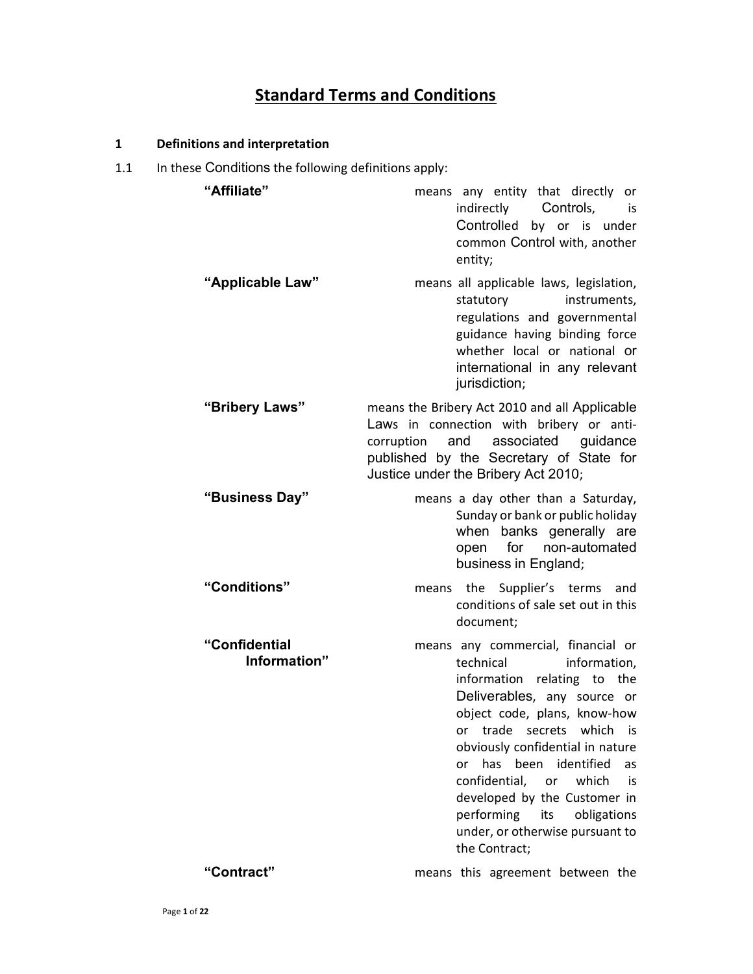# **Standard Terms and Conditions**

# 1 Definitions and interpretation

1.1 In these Conditions the following definitions apply:

| re Conditions the following acrimitions apply. |                                                                                                                                                                                                                                                                                                                                                                                                                                                |
|------------------------------------------------|------------------------------------------------------------------------------------------------------------------------------------------------------------------------------------------------------------------------------------------------------------------------------------------------------------------------------------------------------------------------------------------------------------------------------------------------|
| "Affiliate"                                    | means any entity that directly or<br>indirectly Controls,<br>is<br>Controlled by or is under<br>common Control with, another<br>entity;                                                                                                                                                                                                                                                                                                        |
| "Applicable Law"                               | means all applicable laws, legislation,<br>statutory<br>instruments,<br>regulations and governmental<br>guidance having binding force<br>whether local or national or<br>international in any relevant<br>jurisdiction;                                                                                                                                                                                                                        |
| "Bribery Laws"                                 | means the Bribery Act 2010 and all Applicable<br>Laws in connection with bribery or anti-<br>corruption and associated guidance<br>published by the Secretary of State for<br>Justice under the Bribery Act 2010;                                                                                                                                                                                                                              |
| "Business Day"                                 | means a day other than a Saturday,<br>Sunday or bank or public holiday<br>when banks generally are<br>open for non-automated<br>business in England;                                                                                                                                                                                                                                                                                           |
| "Conditions"                                   | means the Supplier's terms and<br>conditions of sale set out in this<br>document;                                                                                                                                                                                                                                                                                                                                                              |
| "Confidential<br>Information"                  | means any commercial, financial or<br>information,<br>technical<br>information relating to the<br>Deliverables, any source or<br>object code, plans, know-how<br>trade<br>secrets which<br>is is<br>or<br>obviously confidential in nature<br>has<br>been<br>identified<br>as<br>or<br>confidential, or which<br>is is<br>developed by the Customer in<br>performing<br>obligations<br>its<br>under, or otherwise pursuant to<br>the Contract; |
| "Contract"                                     | means this agreement between the                                                                                                                                                                                                                                                                                                                                                                                                               |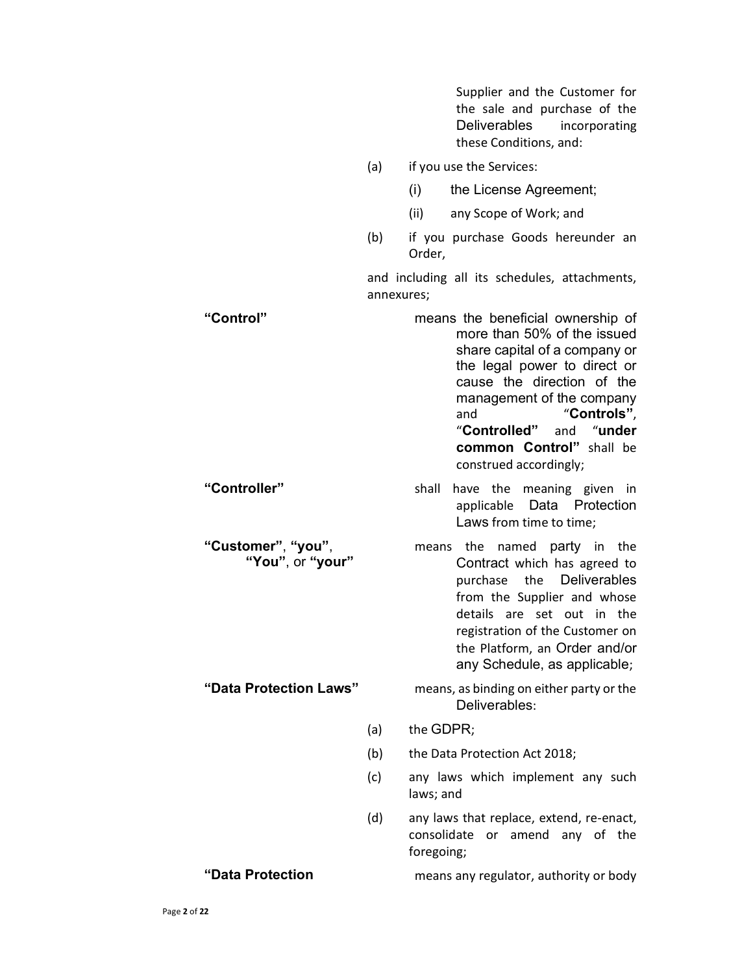Supplier and the Customer for the sale and purchase of the Deliverables incorporating these Conditions, and:

- (a) if you use the Services:
	- (i) the License Agreement;
	- (ii) any Scope of Work; and
- (b) if you purchase Goods hereunder an Order,

and including all its schedules, attachments, annexures;

| "Control"                              |     | means the beneficial ownership of<br>more than 50% of the issued<br>share capital of a company or<br>the legal power to direct or<br>cause the direction of the<br>management of the company<br>"Controls",<br>and<br>"Controlled"<br>"under<br>and<br>common Control" shall be<br>construed accordingly; |
|----------------------------------------|-----|-----------------------------------------------------------------------------------------------------------------------------------------------------------------------------------------------------------------------------------------------------------------------------------------------------------|
| "Controller"                           |     | shall<br>have the<br>meaning given in<br>Data Protection<br>applicable<br>Laws from time to time;                                                                                                                                                                                                         |
| "Customer", "you",<br>"You", or "your" |     | means the<br>named party in the<br>Contract which has agreed to<br>the Deliverables<br>purchase<br>from the Supplier and whose<br>details are set out in the<br>registration of the Customer on<br>the Platform, an Order and/or<br>any Schedule, as applicable;                                          |
| "Data Protection Laws"                 |     | means, as binding on either party or the<br>Deliverables:                                                                                                                                                                                                                                                 |
|                                        | (a) | the GDPR;                                                                                                                                                                                                                                                                                                 |
|                                        | (b) | the Data Protection Act 2018;                                                                                                                                                                                                                                                                             |
|                                        | (c) | any laws which implement any such<br>laws; and                                                                                                                                                                                                                                                            |
|                                        | (d) | any laws that replace, extend, re-enact,<br>consolidate<br>amend<br>any of the<br>or<br>foregoing;                                                                                                                                                                                                        |
| "Data Protection                       |     | means any regulator, authority or body                                                                                                                                                                                                                                                                    |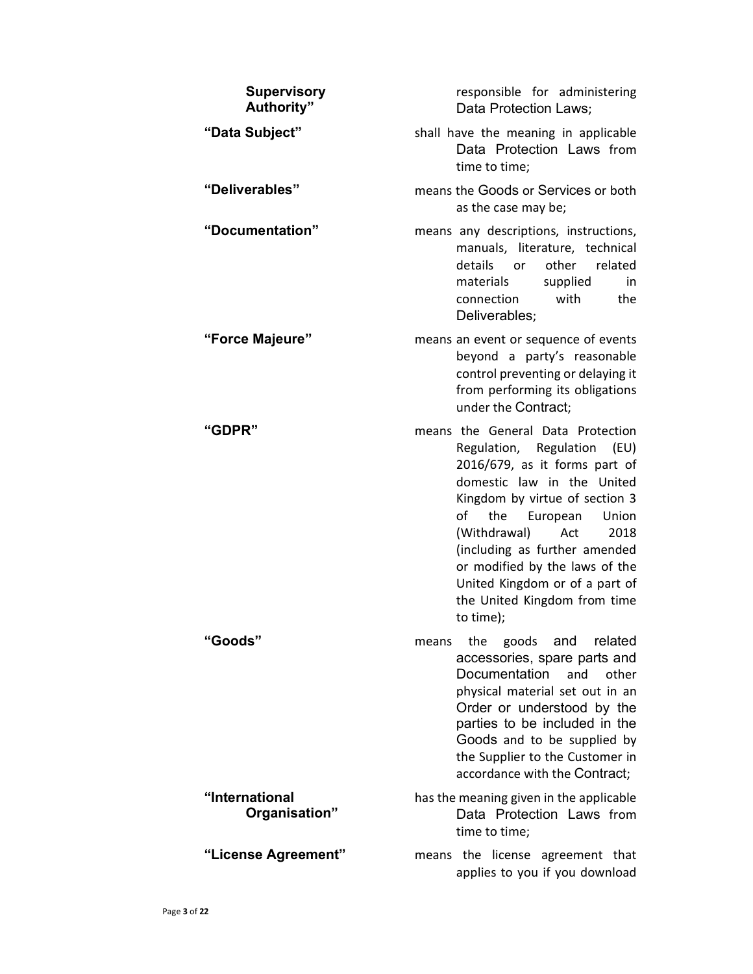| <b>Supervisory</b><br>Authority" | responsible for administering<br>Data Protection Laws;                                                                                                                                                                                                                                                                                                                         |
|----------------------------------|--------------------------------------------------------------------------------------------------------------------------------------------------------------------------------------------------------------------------------------------------------------------------------------------------------------------------------------------------------------------------------|
| "Data Subject"                   | shall have the meaning in applicable<br>Data Protection Laws from<br>time to time;                                                                                                                                                                                                                                                                                             |
| "Deliverables"                   | means the Goods or Services or both<br>as the case may be;                                                                                                                                                                                                                                                                                                                     |
| "Documentation"                  | means any descriptions, instructions,<br>manuals, literature, technical<br>details<br>other<br>related<br>or<br>supplied<br>materials<br>in.<br>with<br>the<br>connection<br>Deliverables;                                                                                                                                                                                     |
| "Force Majeure"                  | means an event or sequence of events<br>beyond a party's reasonable<br>control preventing or delaying it<br>from performing its obligations<br>under the Contract;                                                                                                                                                                                                             |
| "GDPR"                           | means the General Data Protection<br>Regulation, Regulation (EU)<br>2016/679, as it forms part of<br>domestic law in the United<br>Kingdom by virtue of section 3<br>of the European<br>Union<br>(Withdrawal)<br>Act<br>2018<br>(including as further amended<br>or modified by the laws of the<br>United Kingdom or of a part of<br>the United Kingdom from time<br>to time); |
| "Goods"                          | related<br>goods<br>and<br>the<br>means<br>accessories, spare parts and<br><b>Documentation</b><br>and<br>other<br>physical material set out in an<br>Order or understood by the<br>parties to be included in the<br>Goods and to be supplied by<br>the Supplier to the Customer in<br>accordance with the Contract;                                                           |
| "International<br>Organisation"  | has the meaning given in the applicable<br>Data Protection Laws from<br>time to time;                                                                                                                                                                                                                                                                                          |
| "License Agreement"              | means the license agreement that<br>applies to you if you download                                                                                                                                                                                                                                                                                                             |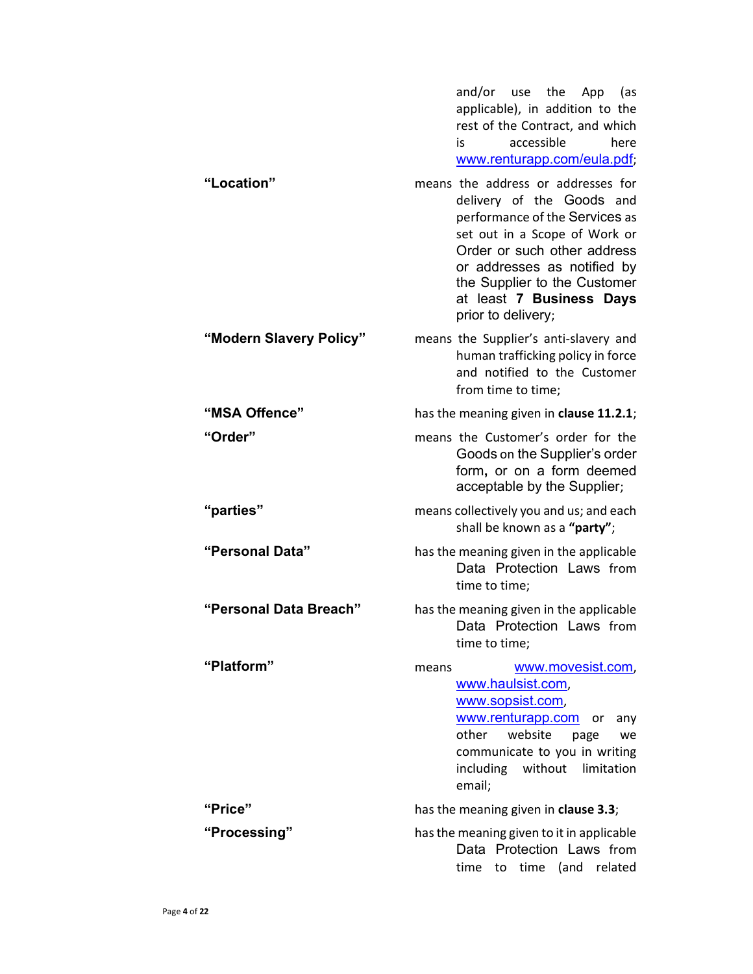| "Location"              | and/or use the App<br>(as<br>applicable), in addition to the<br>rest of the Contract, and which<br>accessible<br>here<br>is<br>www.renturapp.com/eula.pdf;                                                                                                                         |
|-------------------------|------------------------------------------------------------------------------------------------------------------------------------------------------------------------------------------------------------------------------------------------------------------------------------|
|                         | means the address or addresses for<br>delivery of the Goods and<br>performance of the Services as<br>set out in a Scope of Work or<br>Order or such other address<br>or addresses as notified by<br>the Supplier to the Customer<br>at least 7 Business Days<br>prior to delivery; |
| "Modern Slavery Policy" | means the Supplier's anti-slavery and<br>human trafficking policy in force<br>and notified to the Customer<br>from time to time;                                                                                                                                                   |
| "MSA Offence"           | has the meaning given in clause 11.2.1;                                                                                                                                                                                                                                            |
| "Order"                 | means the Customer's order for the<br>Goods on the Supplier's order<br>form, or on a form deemed<br>acceptable by the Supplier;                                                                                                                                                    |
| "parties"               | means collectively you and us; and each<br>shall be known as a "party";                                                                                                                                                                                                            |
| "Personal Data"         | has the meaning given in the applicable<br>Data Protection Laws from<br>time to time;                                                                                                                                                                                              |
| "Personal Data Breach"  | has the meaning given in the applicable<br>Data Protection Laws from<br>time to time;                                                                                                                                                                                              |
| "Platform"              | www.movesist.com,<br>means<br>www.haulsist.com,<br>www.sopsist.com,<br>www.renturapp.com<br>or<br>any<br>other website<br>page<br>we<br>communicate to you in writing<br>including<br>without limitation<br>email;                                                                 |
| "Price"                 | has the meaning given in clause 3.3;                                                                                                                                                                                                                                               |
| "Processing"            | has the meaning given to it in applicable<br>Data Protection Laws from<br>to time (and related<br>time                                                                                                                                                                             |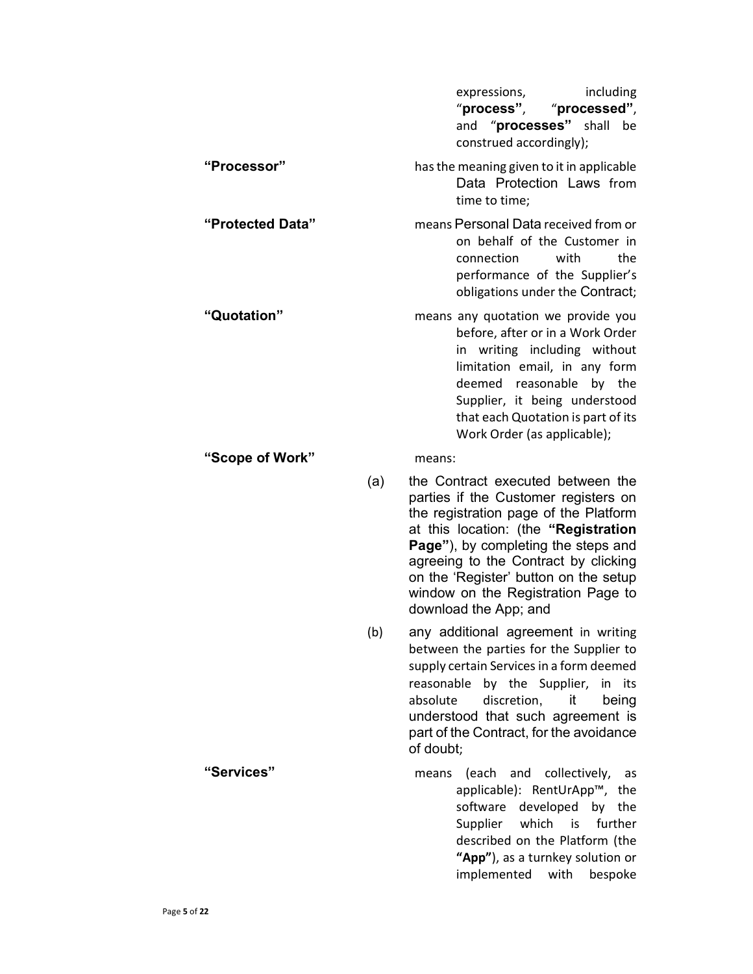|                  |     | including<br>expressions,<br>"process",<br>"processed",<br>and "processes" shall<br>be<br>construed accordingly);                                                                                                                                                                                                                                 |
|------------------|-----|---------------------------------------------------------------------------------------------------------------------------------------------------------------------------------------------------------------------------------------------------------------------------------------------------------------------------------------------------|
| "Processor"      |     | has the meaning given to it in applicable<br>Data Protection Laws from<br>time to time;                                                                                                                                                                                                                                                           |
| "Protected Data" |     | means Personal Data received from or<br>on behalf of the Customer in<br>connection<br>with<br>the<br>performance of the Supplier's<br>obligations under the Contract;                                                                                                                                                                             |
| "Quotation"      |     | means any quotation we provide you<br>before, after or in a Work Order<br>in writing including without<br>limitation email, in any form<br>deemed<br>reasonable<br>by the<br>Supplier, it being understood<br>that each Quotation is part of its<br>Work Order (as applicable);                                                                   |
| "Scope of Work"  |     | means:                                                                                                                                                                                                                                                                                                                                            |
|                  | (a) | the Contract executed between the<br>parties if the Customer registers on<br>the registration page of the Platform<br>at this location: (the "Registration<br>Page"), by completing the steps and<br>agreeing to the Contract by clicking<br>on the 'Register' button on the setup<br>window on the Registration Page to<br>download the App; and |
|                  | (b) | any additional agreement in writing<br>between the parties for the Supplier to<br>supply certain Services in a form deemed<br>reasonable by the Supplier, in its<br>absolute<br>discretion,<br>it<br>being<br>understood that such agreement is<br>part of the Contract, for the avoidance<br>of doubt:                                           |
| "Services"       |     | (each and<br>collectively,<br>means<br>as<br>applicable): RentUrApp™, the<br>software developed by the<br>Supplier which<br>further<br>is<br>described on the Platform (the<br>"App"), as a turnkey solution or<br>implemented<br>with<br>bespoke                                                                                                 |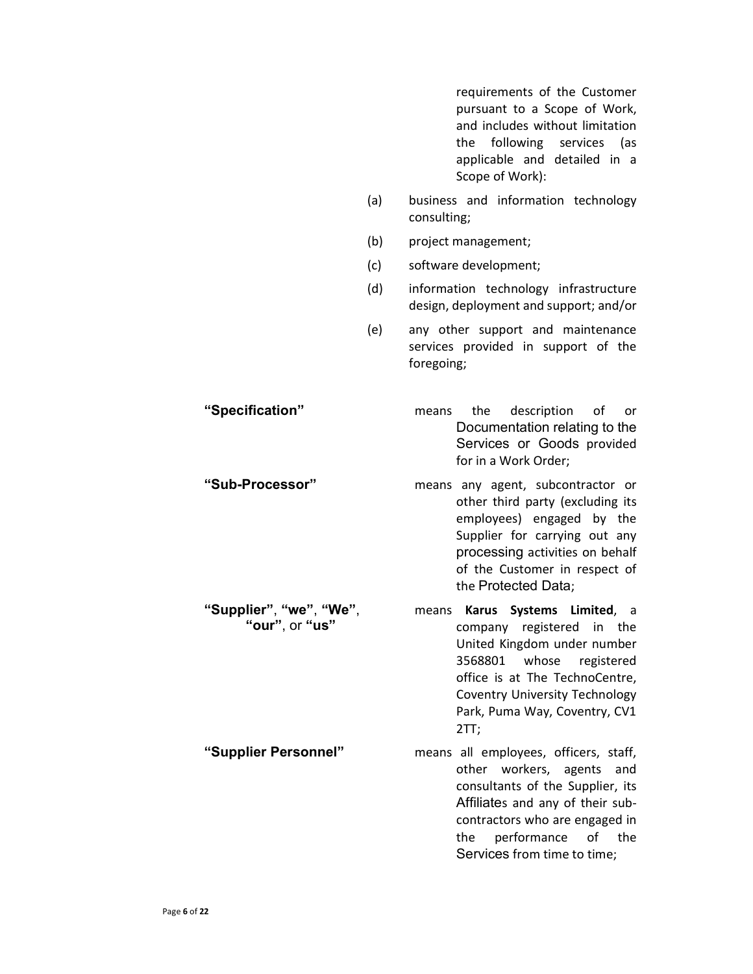requirements of the Customer pursuant to a Scope of Work, and includes without limitation the following services (as applicable and detailed in a Scope of Work):

- (a) business and information technology consulting;
- (b) project management;
- (c) software development;
- (d) information technology infrastructure design, deployment and support; and/or
- (e) any other support and maintenance services provided in support of the foregoing;
- "Specification" means the description of or Documentation relating to the Services or Goods provided for in a Work Order; "Sub-Processor" means any agent, subcontractor or
	- other third party (excluding its employees) engaged by the Supplier for carrying out any processing activities on behalf of the Customer in respect of the Protected Data;
	- means Karus Systems Limited, a company registered in the United Kingdom under number 3568801 whose registered office is at The TechnoCentre, Coventry University Technology Park, Puma Way, Coventry, CV1 2TT;
- "Supplier Personnel" means all employees, officers, staff, other workers, agents and consultants of the Supplier, its Affiliates and any of their subcontractors who are engaged in the performance of the Services from time to time;

"Supplier", "we", "We", "our", or "us"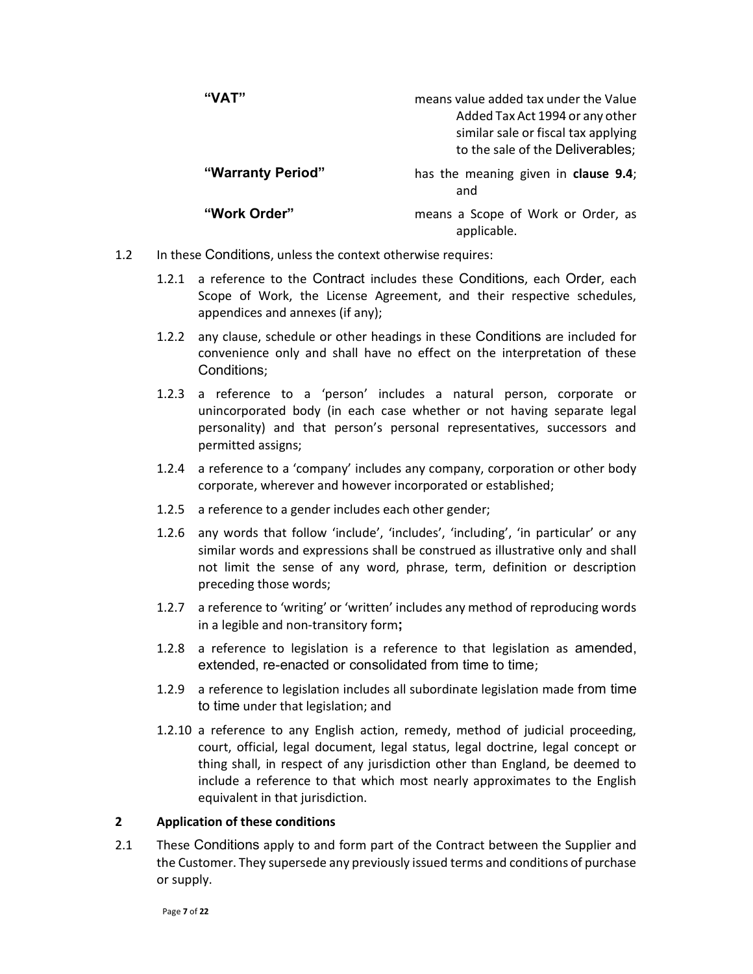| "VAT"             | means value added tax under the Value<br>Added Tax Act 1994 or any other<br>similar sale or fiscal tax applying<br>to the sale of the Deliverables; |
|-------------------|-----------------------------------------------------------------------------------------------------------------------------------------------------|
| "Warranty Period" | has the meaning given in clause 9.4;<br>and                                                                                                         |
| "Work Order"      | means a Scope of Work or Order, as<br>applicable.                                                                                                   |

- 1.2 In these Conditions, unless the context otherwise requires:
	- 1.2.1 a reference to the Contract includes these Conditions, each Order, each Scope of Work, the License Agreement, and their respective schedules, appendices and annexes (if any);
	- 1.2.2 any clause, schedule or other headings in these Conditions are included for convenience only and shall have no effect on the interpretation of these Conditions;
	- 1.2.3 a reference to a 'person' includes a natural person, corporate or unincorporated body (in each case whether or not having separate legal personality) and that person's personal representatives, successors and permitted assigns;
	- 1.2.4 a reference to a 'company' includes any company, corporation or other body corporate, wherever and however incorporated or established;
	- 1.2.5 a reference to a gender includes each other gender;
	- 1.2.6 any words that follow 'include', 'includes', 'including', 'in particular' or any similar words and expressions shall be construed as illustrative only and shall not limit the sense of any word, phrase, term, definition or description preceding those words;
	- 1.2.7 a reference to 'writing' or 'written' includes any method of reproducing words in a legible and non-transitory form;
	- 1.2.8 a reference to legislation is a reference to that legislation as amended, extended, re-enacted or consolidated from time to time;
	- 1.2.9 a reference to legislation includes all subordinate legislation made from time to time under that legislation; and
	- 1.2.10 a reference to any English action, remedy, method of judicial proceeding, court, official, legal document, legal status, legal doctrine, legal concept or thing shall, in respect of any jurisdiction other than England, be deemed to include a reference to that which most nearly approximates to the English equivalent in that jurisdiction.

#### 2 Application of these conditions

2.1 These Conditions apply to and form part of the Contract between the Supplier and the Customer. They supersede any previously issued terms and conditions of purchase or supply.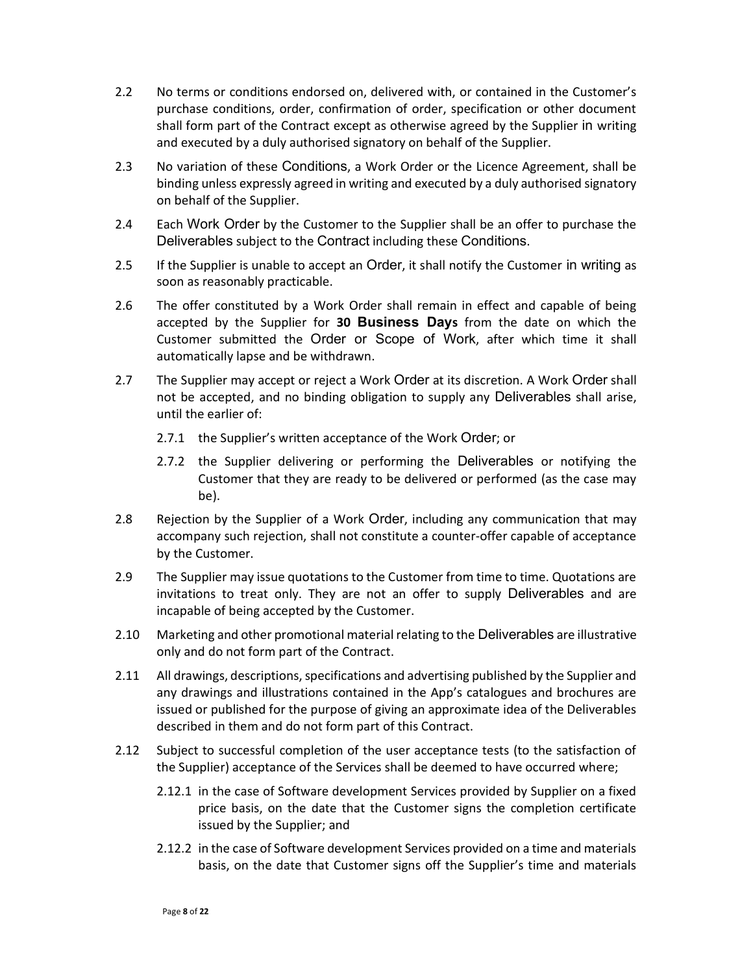- 2.2 No terms or conditions endorsed on, delivered with, or contained in the Customer's purchase conditions, order, confirmation of order, specification or other document shall form part of the Contract except as otherwise agreed by the Supplier in writing and executed by a duly authorised signatory on behalf of the Supplier.
- 2.3 No variation of these Conditions, a Work Order or the Licence Agreement, shall be binding unless expressly agreed in writing and executed by a duly authorised signatory on behalf of the Supplier.
- 2.4 Each Work Order by the Customer to the Supplier shall be an offer to purchase the Deliverables subject to the Contract including these Conditions.
- 2.5 If the Supplier is unable to accept an Order, it shall notify the Customer in writing as soon as reasonably practicable.
- 2.6 The offer constituted by a Work Order shall remain in effect and capable of being accepted by the Supplier for 30 Business Days from the date on which the Customer submitted the Order or Scope of Work, after which time it shall automatically lapse and be withdrawn.
- 2.7 The Supplier may accept or reject a Work Order at its discretion. A Work Order shall not be accepted, and no binding obligation to supply any Deliverables shall arise, until the earlier of:
	- 2.7.1 the Supplier's written acceptance of the Work Order; or
	- 2.7.2 the Supplier delivering or performing the Deliverables or notifying the Customer that they are ready to be delivered or performed (as the case may be).
- 2.8 Rejection by the Supplier of a Work Order, including any communication that may accompany such rejection, shall not constitute a counter-offer capable of acceptance by the Customer.
- 2.9 The Supplier may issue quotations to the Customer from time to time. Quotations are invitations to treat only. They are not an offer to supply Deliverables and are incapable of being accepted by the Customer.
- 2.10 Marketing and other promotional material relating to the Deliverables are illustrative only and do not form part of the Contract.
- 2.11 All drawings, descriptions, specifications and advertising published by the Supplier and any drawings and illustrations contained in the App's catalogues and brochures are issued or published for the purpose of giving an approximate idea of the Deliverables described in them and do not form part of this Contract.
- 2.12 Subject to successful completion of the user acceptance tests (to the satisfaction of the Supplier) acceptance of the Services shall be deemed to have occurred where;
	- 2.12.1 in the case of Software development Services provided by Supplier on a fixed price basis, on the date that the Customer signs the completion certificate issued by the Supplier; and
	- 2.12.2 in the case of Software development Services provided on a time and materials basis, on the date that Customer signs off the Supplier's time and materials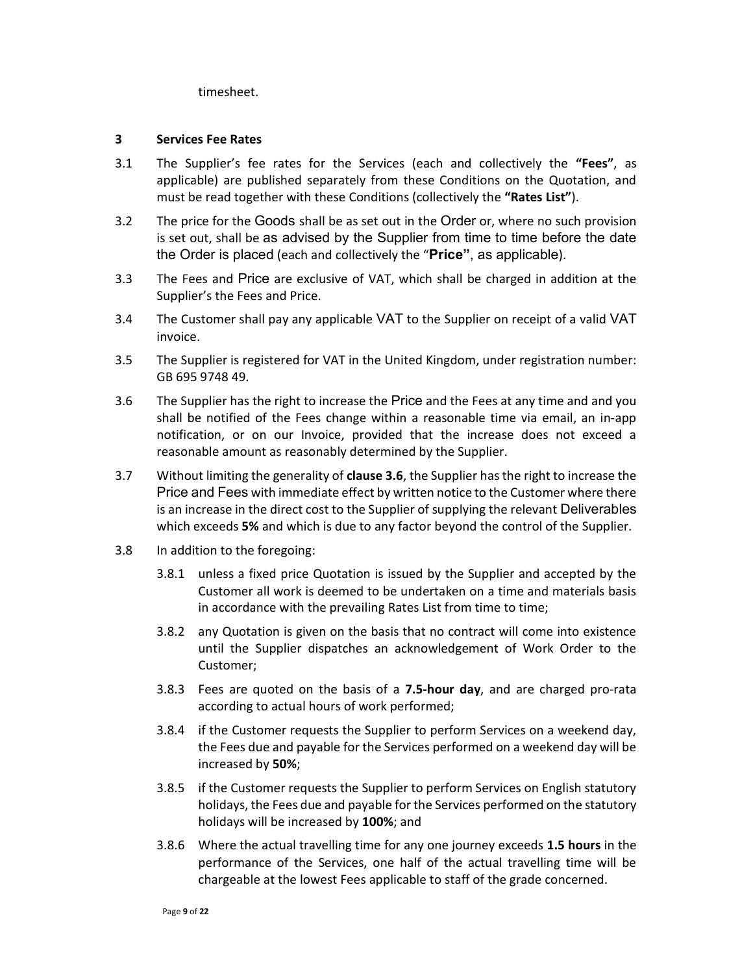timesheet.

#### 3 Services Fee Rates

- 3.1 The Supplier's fee rates for the Services (each and collectively the "Fees", as applicable) are published separately from these Conditions on the Quotation, and must be read together with these Conditions (collectively the "Rates List").
- 3.2 The price for the Goods shall be as set out in the Order or, where no such provision is set out, shall be as advised by the Supplier from time to time before the date the Order is placed (each and collectively the "Price", as applicable).
- 3.3 The Fees and Price are exclusive of VAT, which shall be charged in addition at the Supplier's the Fees and Price.
- 3.4 The Customer shall pay any applicable VAT to the Supplier on receipt of a valid VAT invoice.
- 3.5 The Supplier is registered for VAT in the United Kingdom, under registration number: GB 695 9748 49.
- 3.6 The Supplier has the right to increase the Price and the Fees at any time and and you shall be notified of the Fees change within a reasonable time via email, an in-app notification, or on our Invoice, provided that the increase does not exceed a reasonable amount as reasonably determined by the Supplier.
- 3.7 Without limiting the generality of clause 3.6, the Supplier has the right to increase the Price and Fees with immediate effect by written notice to the Customer where there is an increase in the direct cost to the Supplier of supplying the relevant Deliverables which exceeds 5% and which is due to any factor beyond the control of the Supplier.
- 3.8 In addition to the foregoing:
	- 3.8.1 unless a fixed price Quotation is issued by the Supplier and accepted by the Customer all work is deemed to be undertaken on a time and materials basis in accordance with the prevailing Rates List from time to time;
	- 3.8.2 any Quotation is given on the basis that no contract will come into existence until the Supplier dispatches an acknowledgement of Work Order to the Customer;
	- 3.8.3 Fees are quoted on the basis of a 7.5-hour day, and are charged pro-rata according to actual hours of work performed;
	- 3.8.4 if the Customer requests the Supplier to perform Services on a weekend day, the Fees due and payable for the Services performed on a weekend day will be increased by 50%;
	- 3.8.5 if the Customer requests the Supplier to perform Services on English statutory holidays, the Fees due and payable for the Services performed on the statutory holidays will be increased by 100%; and
	- 3.8.6 Where the actual travelling time for any one journey exceeds 1.5 hours in the performance of the Services, one half of the actual travelling time will be chargeable at the lowest Fees applicable to staff of the grade concerned.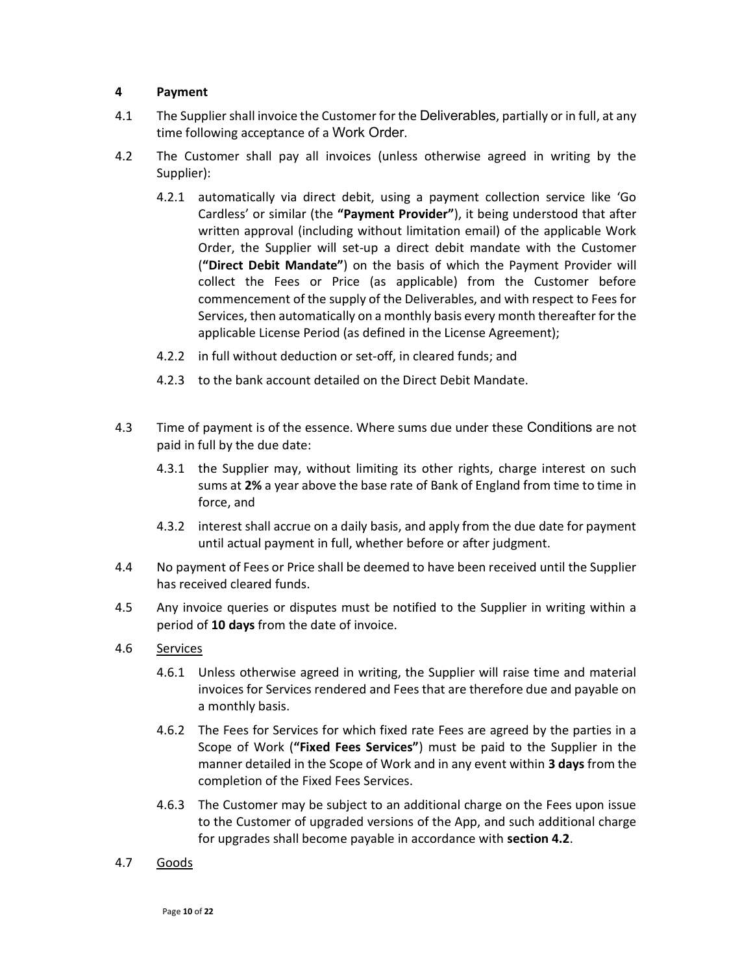## 4 Payment

- 4.1 The Supplier shall invoice the Customer for the Deliverables, partially or in full, at any time following acceptance of a Work Order.
- 4.2 The Customer shall pay all invoices (unless otherwise agreed in writing by the Supplier):
	- 4.2.1 automatically via direct debit, using a payment collection service like 'Go Cardless' or similar (the "Payment Provider"), it being understood that after written approval (including without limitation email) of the applicable Work Order, the Supplier will set-up a direct debit mandate with the Customer ("Direct Debit Mandate") on the basis of which the Payment Provider will collect the Fees or Price (as applicable) from the Customer before commencement of the supply of the Deliverables, and with respect to Fees for Services, then automatically on a monthly basis every month thereafter for the applicable License Period (as defined in the License Agreement);
	- 4.2.2 in full without deduction or set-off, in cleared funds; and
	- 4.2.3 to the bank account detailed on the Direct Debit Mandate.
- 4.3 Time of payment is of the essence. Where sums due under these Conditions are not paid in full by the due date:
	- 4.3.1 the Supplier may, without limiting its other rights, charge interest on such sums at 2% a year above the base rate of Bank of England from time to time in force, and
	- 4.3.2 interest shall accrue on a daily basis, and apply from the due date for payment until actual payment in full, whether before or after judgment.
- 4.4 No payment of Fees or Price shall be deemed to have been received until the Supplier has received cleared funds.
- 4.5 Any invoice queries or disputes must be notified to the Supplier in writing within a period of 10 days from the date of invoice.
- 4.6 Services
	- 4.6.1 Unless otherwise agreed in writing, the Supplier will raise time and material invoices for Services rendered and Fees that are therefore due and payable on a monthly basis.
	- 4.6.2 The Fees for Services for which fixed rate Fees are agreed by the parties in a Scope of Work ("Fixed Fees Services") must be paid to the Supplier in the manner detailed in the Scope of Work and in any event within 3 days from the completion of the Fixed Fees Services.
	- 4.6.3 The Customer may be subject to an additional charge on the Fees upon issue to the Customer of upgraded versions of the App, and such additional charge for upgrades shall become payable in accordance with section 4.2.
- 4.7 Goods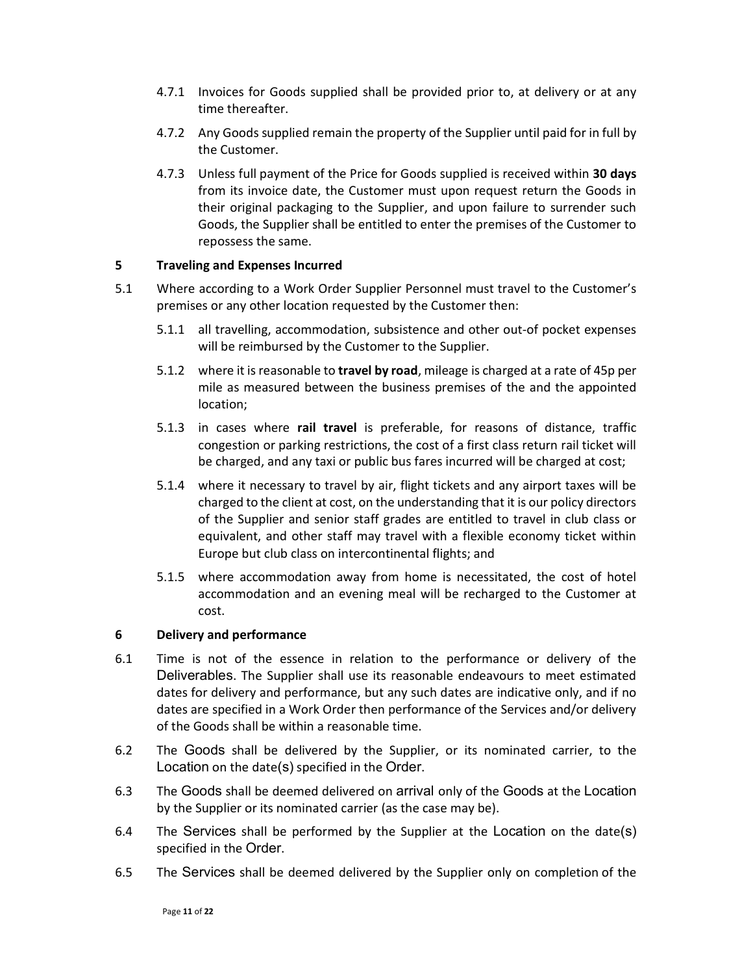- 4.7.1 Invoices for Goods supplied shall be provided prior to, at delivery or at any time thereafter.
- 4.7.2 Any Goods supplied remain the property of the Supplier until paid for in full by the Customer.
- 4.7.3 Unless full payment of the Price for Goods supplied is received within 30 days from its invoice date, the Customer must upon request return the Goods in their original packaging to the Supplier, and upon failure to surrender such Goods, the Supplier shall be entitled to enter the premises of the Customer to repossess the same.

#### 5 Traveling and Expenses Incurred

- 5.1 Where according to a Work Order Supplier Personnel must travel to the Customer's premises or any other location requested by the Customer then:
	- 5.1.1 all travelling, accommodation, subsistence and other out-of pocket expenses will be reimbursed by the Customer to the Supplier.
	- 5.1.2 where it is reasonable to travel by road, mileage is charged at a rate of 45p per mile as measured between the business premises of the and the appointed location;
	- 5.1.3 in cases where rail travel is preferable, for reasons of distance, traffic congestion or parking restrictions, the cost of a first class return rail ticket will be charged, and any taxi or public bus fares incurred will be charged at cost;
	- 5.1.4 where it necessary to travel by air, flight tickets and any airport taxes will be charged to the client at cost, on the understanding that it is our policy directors of the Supplier and senior staff grades are entitled to travel in club class or equivalent, and other staff may travel with a flexible economy ticket within Europe but club class on intercontinental flights; and
	- 5.1.5 where accommodation away from home is necessitated, the cost of hotel accommodation and an evening meal will be recharged to the Customer at cost.

#### 6 Delivery and performance

- 6.1 Time is not of the essence in relation to the performance or delivery of the Deliverables. The Supplier shall use its reasonable endeavours to meet estimated dates for delivery and performance, but any such dates are indicative only, and if no dates are specified in a Work Order then performance of the Services and/or delivery of the Goods shall be within a reasonable time.
- 6.2 The Goods shall be delivered by the Supplier, or its nominated carrier, to the Location on the date(s) specified in the Order.
- 6.3 The Goods shall be deemed delivered on arrival only of the Goods at the Location by the Supplier or its nominated carrier (as the case may be).
- 6.4 The Services shall be performed by the Supplier at the Location on the date(s) specified in the Order.
- 6.5 The Services shall be deemed delivered by the Supplier only on completion of the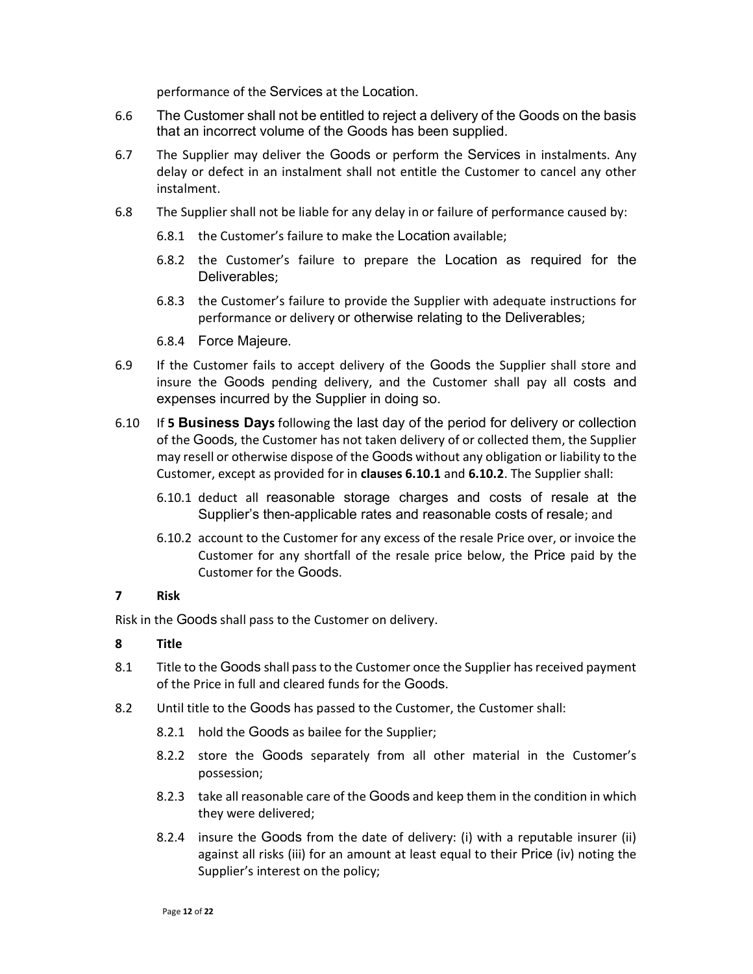performance of the Services at the Location.

- 6.6 The Customer shall not be entitled to reject a delivery of the Goods on the basis that an incorrect volume of the Goods has been supplied.
- 6.7 The Supplier may deliver the Goods or perform the Services in instalments. Any delay or defect in an instalment shall not entitle the Customer to cancel any other instalment.
- 6.8 The Supplier shall not be liable for any delay in or failure of performance caused by:
	- 6.8.1 the Customer's failure to make the Location available;
	- 6.8.2 the Customer's failure to prepare the Location as required for the Deliverables;
	- 6.8.3 the Customer's failure to provide the Supplier with adequate instructions for performance or delivery or otherwise relating to the Deliverables;
	- 6.8.4 Force Majeure.
- 6.9 If the Customer fails to accept delivery of the Goods the Supplier shall store and insure the Goods pending delivery, and the Customer shall pay all costs and expenses incurred by the Supplier in doing so.
- 6.10 If 5 Business Days following the last day of the period for delivery or collection of the Goods, the Customer has not taken delivery of or collected them, the Supplier may resell or otherwise dispose of the Goods without any obligation or liability to the Customer, except as provided for in clauses 6.10.1 and 6.10.2. The Supplier shall:
	- 6.10.1 deduct all reasonable storage charges and costs of resale at the Supplier's then-applicable rates and reasonable costs of resale; and
	- 6.10.2 account to the Customer for any excess of the resale Price over, or invoice the Customer for any shortfall of the resale price below, the Price paid by the Customer for the Goods.

#### 7 Risk

Risk in the Goods shall pass to the Customer on delivery.

#### 8 Title

- 8.1 Title to the Goods shall pass to the Customer once the Supplier has received payment of the Price in full and cleared funds for the Goods.
- 8.2 Until title to the Goods has passed to the Customer, the Customer shall:
	- 8.2.1 hold the Goods as bailee for the Supplier;
	- 8.2.2 store the Goods separately from all other material in the Customer's possession;
	- 8.2.3 take all reasonable care of the Goods and keep them in the condition in which they were delivered;
	- 8.2.4 insure the Goods from the date of delivery: (i) with a reputable insurer (ii) against all risks (iii) for an amount at least equal to their Price (iv) noting the Supplier's interest on the policy;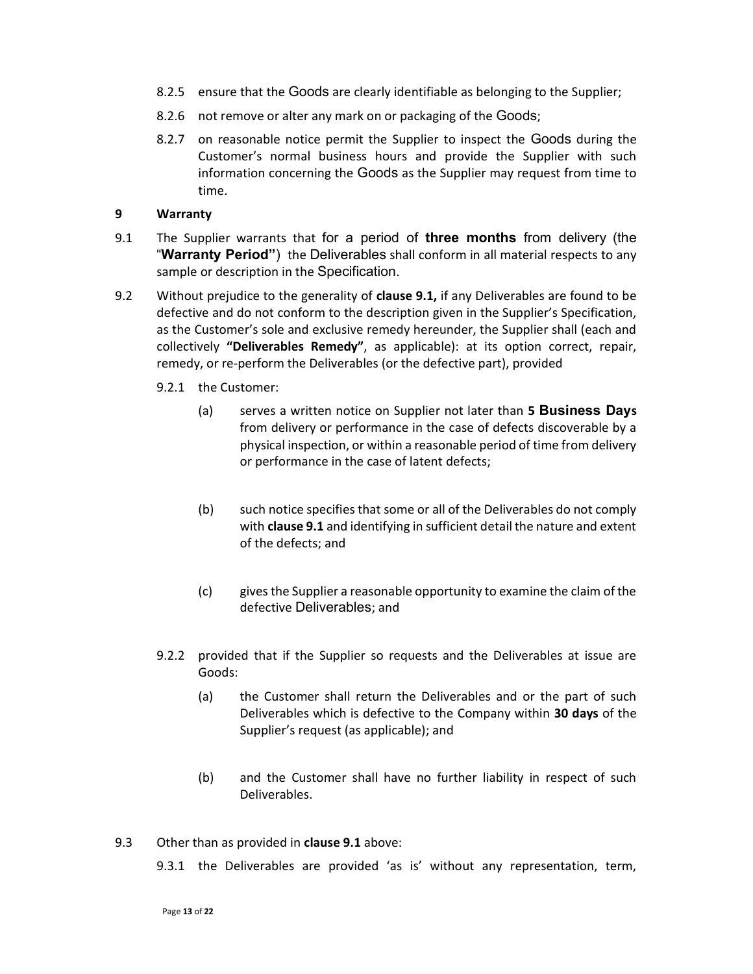- 8.2.5 ensure that the Goods are clearly identifiable as belonging to the Supplier;
- 8.2.6 not remove or alter any mark on or packaging of the Goods;
- 8.2.7 on reasonable notice permit the Supplier to inspect the Goods during the Customer's normal business hours and provide the Supplier with such information concerning the Goods as the Supplier may request from time to time.

## 9 Warranty

- 9.1 The Supplier warrants that for a period of three months from delivery (the "Warranty Period") the Deliverables shall conform in all material respects to any sample or description in the Specification.
- 9.2 Without prejudice to the generality of clause 9.1, if any Deliverables are found to be defective and do not conform to the description given in the Supplier's Specification, as the Customer's sole and exclusive remedy hereunder, the Supplier shall (each and collectively "Deliverables Remedy", as applicable): at its option correct, repair, remedy, or re-perform the Deliverables (or the defective part), provided
	- 9.2.1 the Customer:
		- (a) serves a written notice on Supplier not later than **5 Business Days** from delivery or performance in the case of defects discoverable by a physical inspection, or within a reasonable period of time from delivery or performance in the case of latent defects;
		- (b) such notice specifies that some or all of the Deliverables do not comply with clause 9.1 and identifying in sufficient detail the nature and extent of the defects; and
		- (c) gives the Supplier a reasonable opportunity to examine the claim of the defective Deliverables; and
	- 9.2.2 provided that if the Supplier so requests and the Deliverables at issue are Goods:
		- (a) the Customer shall return the Deliverables and or the part of such Deliverables which is defective to the Company within 30 days of the Supplier's request (as applicable); and
		- (b) and the Customer shall have no further liability in respect of such Deliverables.
- 9.3 Other than as provided in **clause 9.1** above:
	- 9.3.1 the Deliverables are provided 'as is' without any representation, term,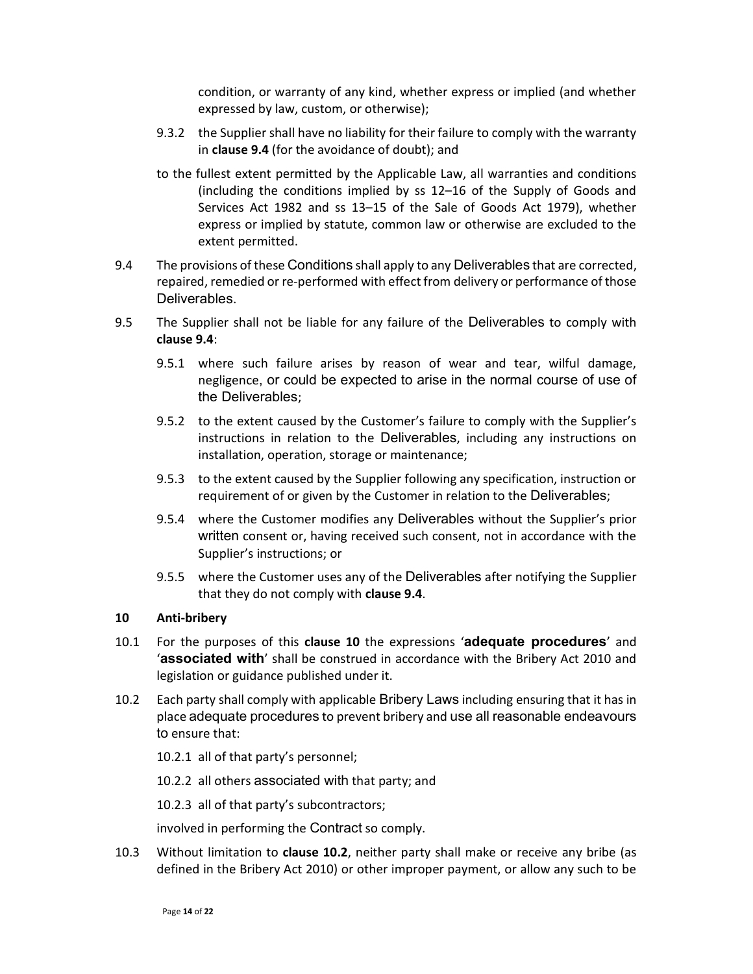condition, or warranty of any kind, whether express or implied (and whether expressed by law, custom, or otherwise);

- 9.3.2 the Supplier shall have no liability for their failure to comply with the warranty in clause 9.4 (for the avoidance of doubt); and
- to the fullest extent permitted by the Applicable Law, all warranties and conditions (including the conditions implied by ss 12–16 of the Supply of Goods and Services Act 1982 and ss 13–15 of the Sale of Goods Act 1979), whether express or implied by statute, common law or otherwise are excluded to the extent permitted.
- 9.4 The provisions of these Conditions shall apply to any Deliverables that are corrected, repaired, remedied or re-performed with effect from delivery or performance of those Deliverables.
- 9.5 The Supplier shall not be liable for any failure of the Deliverables to comply with clause 9.4:
	- 9.5.1 where such failure arises by reason of wear and tear, wilful damage, negligence, or could be expected to arise in the normal course of use of the Deliverables;
	- 9.5.2 to the extent caused by the Customer's failure to comply with the Supplier's instructions in relation to the Deliverables, including any instructions on installation, operation, storage or maintenance;
	- 9.5.3 to the extent caused by the Supplier following any specification, instruction or requirement of or given by the Customer in relation to the Deliverables;
	- 9.5.4 where the Customer modifies any Deliverables without the Supplier's prior written consent or, having received such consent, not in accordance with the Supplier's instructions; or
	- 9.5.5 where the Customer uses any of the Deliverables after notifying the Supplier that they do not comply with clause 9.4.

#### 10 Anti-bribery

- 10.1 For the purposes of this clause 10 the expressions 'adequate procedures' and 'associated with' shall be construed in accordance with the Bribery Act 2010 and legislation or guidance published under it.
- 10.2 Each party shall comply with applicable Bribery Laws including ensuring that it has in place adequate procedures to prevent bribery and use all reasonable endeavours to ensure that:
	- 10.2.1 all of that party's personnel;

10.2.2 all others associated with that party; and

10.2.3 all of that party's subcontractors;

involved in performing the Contract so comply.

10.3 Without limitation to clause 10.2, neither party shall make or receive any bribe (as defined in the Bribery Act 2010) or other improper payment, or allow any such to be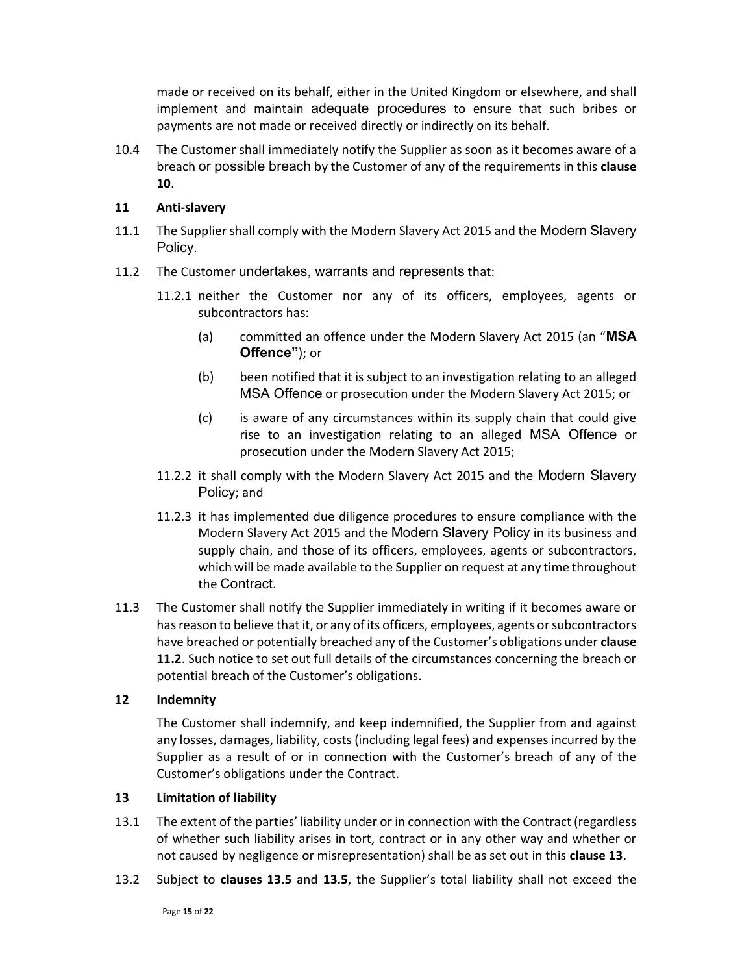made or received on its behalf, either in the United Kingdom or elsewhere, and shall implement and maintain adequate procedures to ensure that such bribes or payments are not made or received directly or indirectly on its behalf.

10.4 The Customer shall immediately notify the Supplier as soon as it becomes aware of a breach or possible breach by the Customer of any of the requirements in this clause 10.

#### 11 Anti-slavery

- 11.1 The Supplier shall comply with the Modern Slavery Act 2015 and the Modern Slavery Policy.
- 11.2 The Customer undertakes, warrants and represents that:
	- 11.2.1 neither the Customer nor any of its officers, employees, agents or subcontractors has:
		- (a) committed an offence under the Modern Slavery Act 2015 (an "MSA Offence"); or
		- (b) been notified that it is subject to an investigation relating to an alleged MSA Offence or prosecution under the Modern Slavery Act 2015; or
		- (c) is aware of any circumstances within its supply chain that could give rise to an investigation relating to an alleged MSA Offence or prosecution under the Modern Slavery Act 2015;
	- 11.2.2 it shall comply with the Modern Slavery Act 2015 and the Modern Slavery Policy; and
	- 11.2.3 it has implemented due diligence procedures to ensure compliance with the Modern Slavery Act 2015 and the Modern Slavery Policy in its business and supply chain, and those of its officers, employees, agents or subcontractors, which will be made available to the Supplier on request at any time throughout the Contract.
- 11.3 The Customer shall notify the Supplier immediately in writing if it becomes aware or has reason to believe that it, or any of its officers, employees, agents or subcontractors have breached or potentially breached any of the Customer's obligations under **clause** 11.2. Such notice to set out full details of the circumstances concerning the breach or potential breach of the Customer's obligations.

#### 12 Indemnity

The Customer shall indemnify, and keep indemnified, the Supplier from and against any losses, damages, liability, costs (including legal fees) and expenses incurred by the Supplier as a result of or in connection with the Customer's breach of any of the Customer's obligations under the Contract.

# 13 Limitation of liability

- 13.1 The extent of the parties' liability under or in connection with the Contract (regardless of whether such liability arises in tort, contract or in any other way and whether or not caused by negligence or misrepresentation) shall be as set out in this clause 13.
- 13.2 Subject to clauses 13.5 and 13.5, the Supplier's total liability shall not exceed the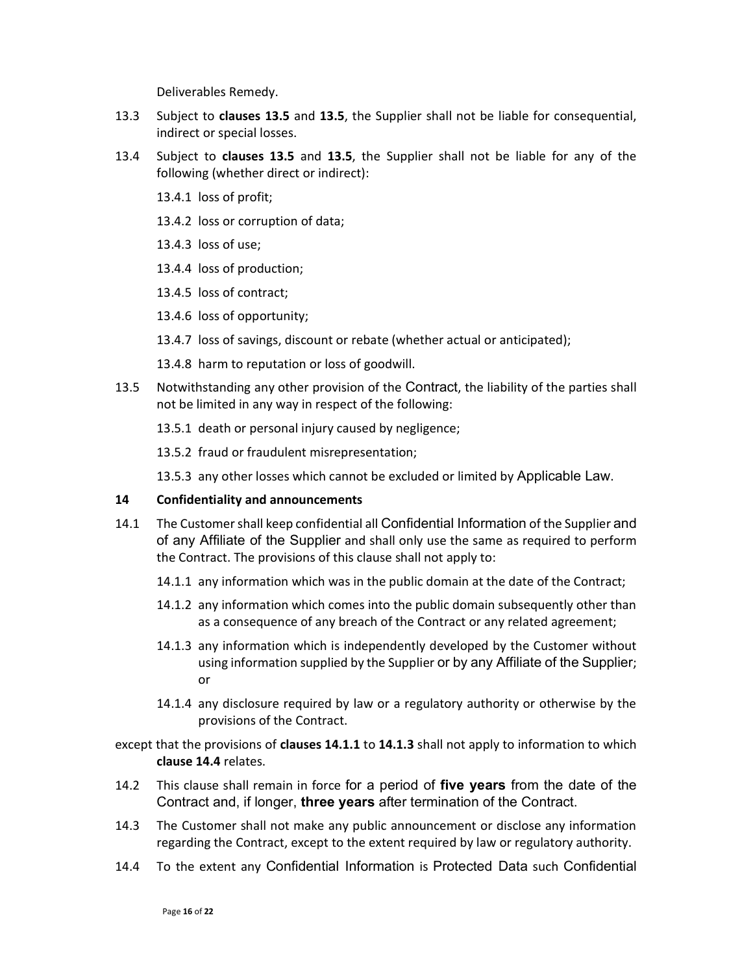Deliverables Remedy.

- 13.3 Subject to clauses 13.5 and 13.5, the Supplier shall not be liable for consequential, indirect or special losses.
- 13.4 Subject to clauses 13.5 and 13.5, the Supplier shall not be liable for any of the following (whether direct or indirect):
	- 13.4.1 loss of profit;
	- 13.4.2 loss or corruption of data;
	- 13.4.3 loss of use;
	- 13.4.4 loss of production;
	- 13.4.5 loss of contract;
	- 13.4.6 loss of opportunity;
	- 13.4.7 loss of savings, discount or rebate (whether actual or anticipated);
	- 13.4.8 harm to reputation or loss of goodwill.
- 13.5 Notwithstanding any other provision of the Contract, the liability of the parties shall not be limited in any way in respect of the following:
	- 13.5.1 death or personal injury caused by negligence;
	- 13.5.2 fraud or fraudulent misrepresentation;
	- 13.5.3 any other losses which cannot be excluded or limited by Applicable Law.

#### 14 Confidentiality and announcements

- 14.1 The Customer shall keep confidential all Confidential Information of the Supplier and of any Affiliate of the Supplier and shall only use the same as required to perform the Contract. The provisions of this clause shall not apply to:
	- 14.1.1 any information which was in the public domain at the date of the Contract;
	- 14.1.2 any information which comes into the public domain subsequently other than as a consequence of any breach of the Contract or any related agreement;
	- 14.1.3 any information which is independently developed by the Customer without using information supplied by the Supplier or by any Affiliate of the Supplier; or
	- 14.1.4 any disclosure required by law or a regulatory authority or otherwise by the provisions of the Contract.
- except that the provisions of clauses 14.1.1 to 14.1.3 shall not apply to information to which clause 14.4 relates.
- 14.2 This clause shall remain in force for a period of five years from the date of the Contract and, if longer, three years after termination of the Contract.
- 14.3 The Customer shall not make any public announcement or disclose any information regarding the Contract, except to the extent required by law or regulatory authority.
- 14.4 To the extent any Confidential Information is Protected Data such Confidential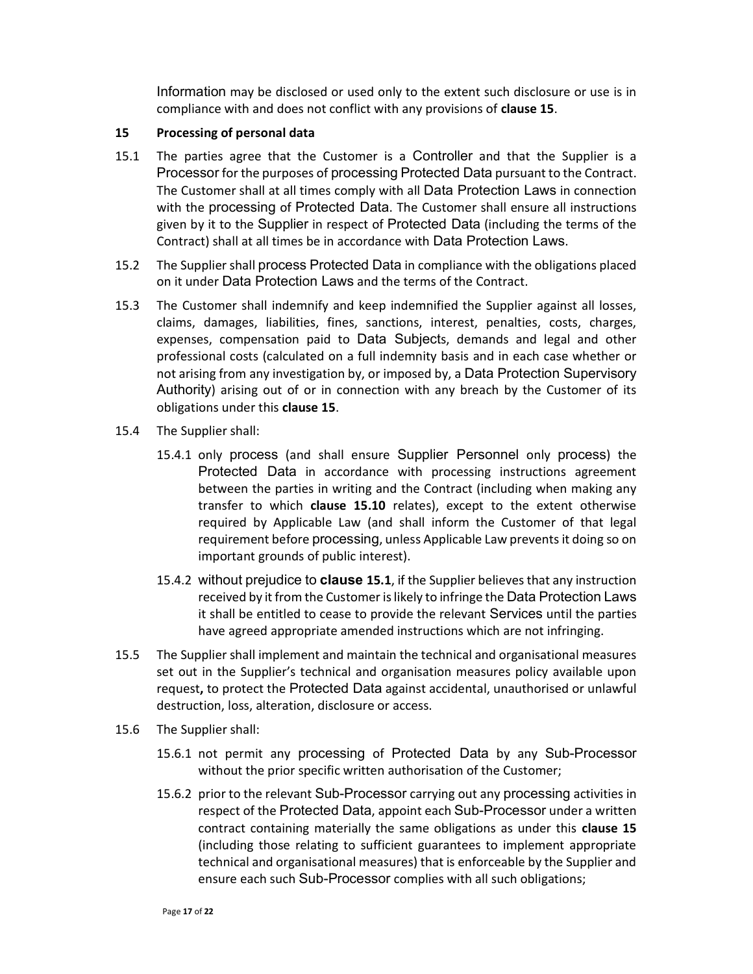Information may be disclosed or used only to the extent such disclosure or use is in compliance with and does not conflict with any provisions of clause 15.

## 15 Processing of personal data

- 15.1 The parties agree that the Customer is a Controller and that the Supplier is a Processor for the purposes of processing Protected Data pursuant to the Contract. The Customer shall at all times comply with all Data Protection Laws in connection with the processing of Protected Data. The Customer shall ensure all instructions given by it to the Supplier in respect of Protected Data (including the terms of the Contract) shall at all times be in accordance with Data Protection Laws.
- 15.2 The Supplier shall process Protected Data in compliance with the obligations placed on it under Data Protection Laws and the terms of the Contract.
- 15.3 The Customer shall indemnify and keep indemnified the Supplier against all losses, claims, damages, liabilities, fines, sanctions, interest, penalties, costs, charges, expenses, compensation paid to Data Subjects, demands and legal and other professional costs (calculated on a full indemnity basis and in each case whether or not arising from any investigation by, or imposed by, a Data Protection Supervisory Authority) arising out of or in connection with any breach by the Customer of its obligations under this clause 15.
- 15.4 The Supplier shall:
	- 15.4.1 only process (and shall ensure Supplier Personnel only process) the Protected Data in accordance with processing instructions agreement between the parties in writing and the Contract (including when making any transfer to which clause 15.10 relates), except to the extent otherwise required by Applicable Law (and shall inform the Customer of that legal requirement before processing, unless Applicable Law prevents it doing so on important grounds of public interest).
	- 15.4.2 without prejudice to **clause 15.1**, if the Supplier believes that any instruction received by it from the Customer is likely to infringe the Data Protection Laws it shall be entitled to cease to provide the relevant Services until the parties have agreed appropriate amended instructions which are not infringing.
- 15.5 The Supplier shall implement and maintain the technical and organisational measures set out in the Supplier's technical and organisation measures policy available upon request, to protect the Protected Data against accidental, unauthorised or unlawful destruction, loss, alteration, disclosure or access.
- 15.6 The Supplier shall:
	- 15.6.1 not permit any processing of Protected Data by any Sub-Processor without the prior specific written authorisation of the Customer;
	- 15.6.2 prior to the relevant Sub-Processor carrying out any processing activities in respect of the Protected Data, appoint each Sub-Processor under a written contract containing materially the same obligations as under this clause 15 (including those relating to sufficient guarantees to implement appropriate technical and organisational measures) that is enforceable by the Supplier and ensure each such Sub-Processor complies with all such obligations;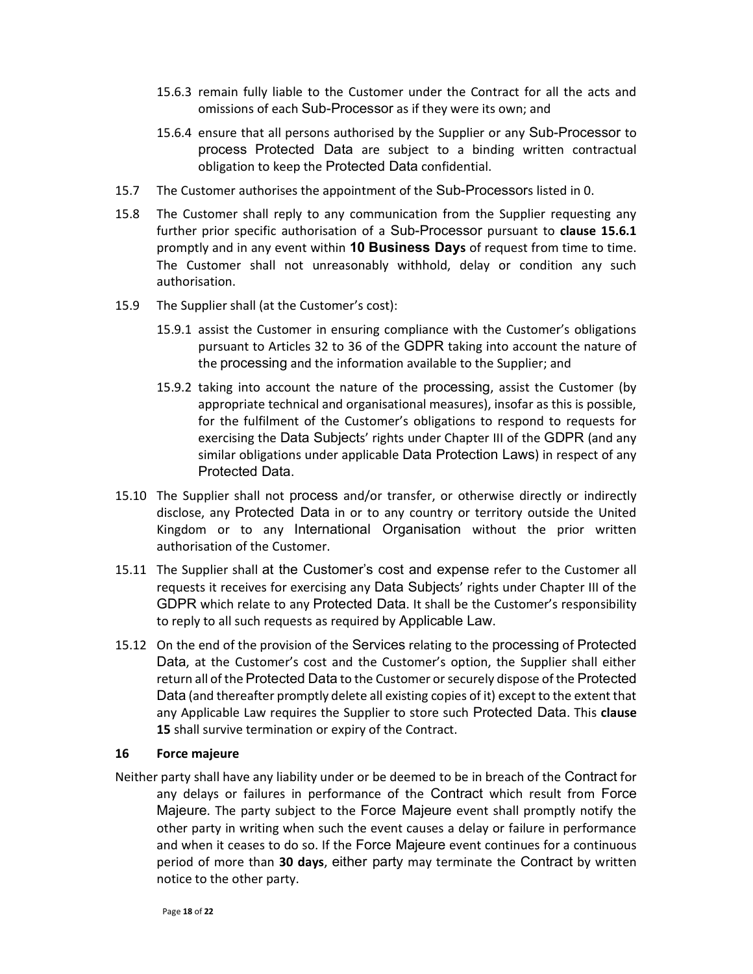- 15.6.3 remain fully liable to the Customer under the Contract for all the acts and omissions of each Sub-Processor as if they were its own; and
- 15.6.4 ensure that all persons authorised by the Supplier or any Sub-Processor to process Protected Data are subject to a binding written contractual obligation to keep the Protected Data confidential.
- 15.7 The Customer authorises the appointment of the Sub-Processors listed in 0.
- 15.8 The Customer shall reply to any communication from the Supplier requesting any further prior specific authorisation of a Sub-Processor pursuant to clause 15.6.1 promptly and in any event within 10 Business Days of request from time to time. The Customer shall not unreasonably withhold, delay or condition any such authorisation.
- 15.9 The Supplier shall (at the Customer's cost):
	- 15.9.1 assist the Customer in ensuring compliance with the Customer's obligations pursuant to Articles 32 to 36 of the GDPR taking into account the nature of the processing and the information available to the Supplier; and
	- 15.9.2 taking into account the nature of the processing, assist the Customer (by appropriate technical and organisational measures), insofar as this is possible, for the fulfilment of the Customer's obligations to respond to requests for exercising the Data Subjects' rights under Chapter III of the GDPR (and any similar obligations under applicable Data Protection Laws) in respect of any Protected Data.
- 15.10 The Supplier shall not process and/or transfer, or otherwise directly or indirectly disclose, any Protected Data in or to any country or territory outside the United Kingdom or to any International Organisation without the prior written authorisation of the Customer.
- 15.11 The Supplier shall at the Customer's cost and expense refer to the Customer all requests it receives for exercising any Data Subjects' rights under Chapter III of the GDPR which relate to any Protected Data. It shall be the Customer's responsibility to reply to all such requests as required by Applicable Law.
- 15.12 On the end of the provision of the Services relating to the processing of Protected Data, at the Customer's cost and the Customer's option, the Supplier shall either return all of the Protected Data to the Customer or securely dispose of the Protected Data (and thereafter promptly delete all existing copies of it) except to the extent that any Applicable Law requires the Supplier to store such Protected Data. This clause 15 shall survive termination or expiry of the Contract.

#### 16 Force majeure

Neither party shall have any liability under or be deemed to be in breach of the Contract for any delays or failures in performance of the Contract which result from Force Majeure. The party subject to the Force Majeure event shall promptly notify the other party in writing when such the event causes a delay or failure in performance and when it ceases to do so. If the Force Majeure event continues for a continuous period of more than 30 days, either party may terminate the Contract by written notice to the other party.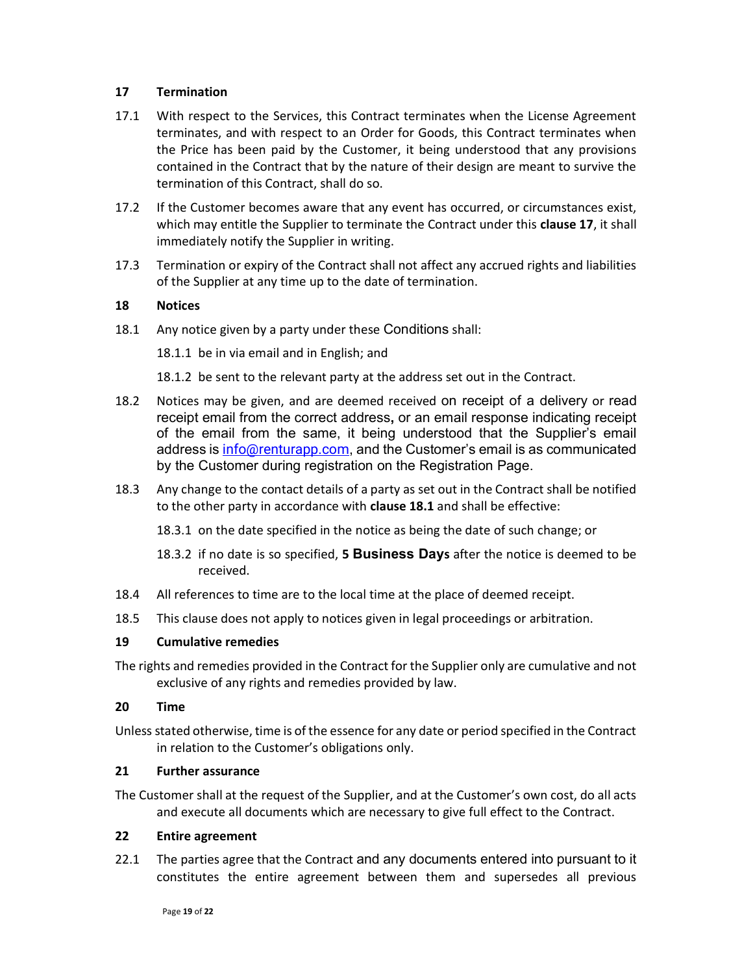## 17 Termination

- 17.1 With respect to the Services, this Contract terminates when the License Agreement terminates, and with respect to an Order for Goods, this Contract terminates when the Price has been paid by the Customer, it being understood that any provisions contained in the Contract that by the nature of their design are meant to survive the termination of this Contract, shall do so.
- 17.2 If the Customer becomes aware that any event has occurred, or circumstances exist, which may entitle the Supplier to terminate the Contract under this **clause 17**, it shall immediately notify the Supplier in writing.
- 17.3 Termination or expiry of the Contract shall not affect any accrued rights and liabilities of the Supplier at any time up to the date of termination.

## 18 Notices

18.1 Any notice given by a party under these Conditions shall:

18.1.1 be in via email and in English; and

18.1.2 be sent to the relevant party at the address set out in the Contract.

- 18.2 Notices may be given, and are deemed received on receipt of a delivery or read receipt email from the correct address, or an email response indicating receipt of the email from the same, it being understood that the Supplier's email address is info@renturapp.com, and the Customer's email is as communicated by the Customer during registration on the Registration Page.
- 18.3 Any change to the contact details of a party as set out in the Contract shall be notified to the other party in accordance with clause 18.1 and shall be effective:
	- 18.3.1 on the date specified in the notice as being the date of such change; or
	- 18.3.2 if no date is so specified, 5 Business Days after the notice is deemed to be received.
- 18.4 All references to time are to the local time at the place of deemed receipt.
- 18.5 This clause does not apply to notices given in legal proceedings or arbitration.

#### 19 Cumulative remedies

The rights and remedies provided in the Contract for the Supplier only are cumulative and not exclusive of any rights and remedies provided by law.

#### 20 Time

Unless stated otherwise, time is of the essence for any date or period specified in the Contract in relation to the Customer's obligations only.

## 21 Further assurance

The Customer shall at the request of the Supplier, and at the Customer's own cost, do all acts and execute all documents which are necessary to give full effect to the Contract.

## 22 Entire agreement

22.1 The parties agree that the Contract and any documents entered into pursuant to it constitutes the entire agreement between them and supersedes all previous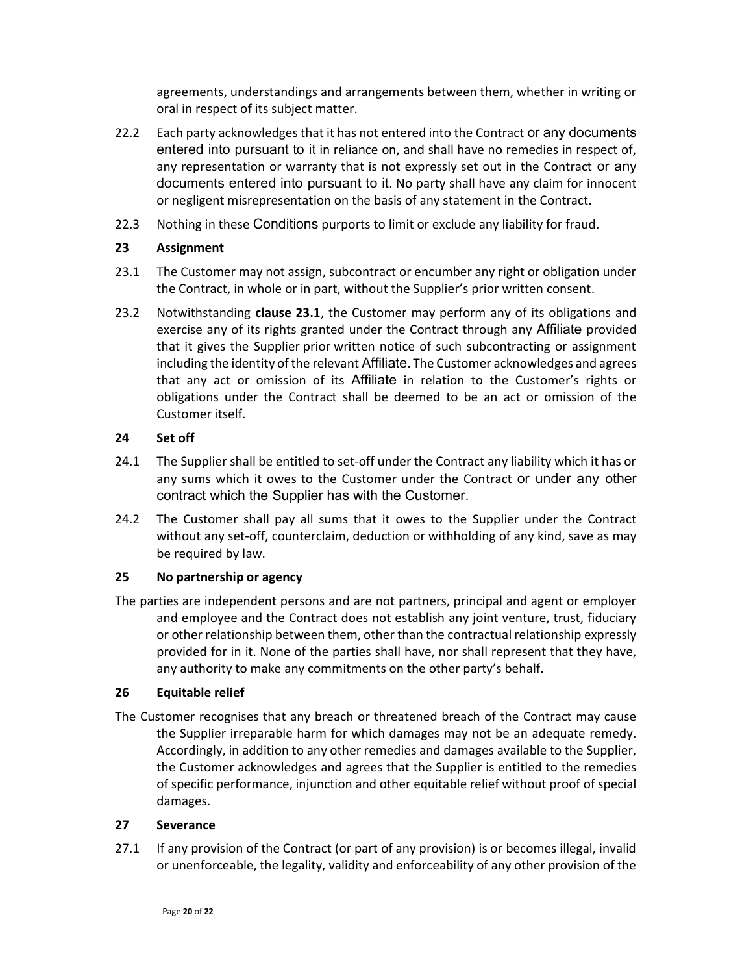agreements, understandings and arrangements between them, whether in writing or oral in respect of its subject matter.

- 22.2 Each party acknowledges that it has not entered into the Contract or any documents entered into pursuant to it in reliance on, and shall have no remedies in respect of, any representation or warranty that is not expressly set out in the Contract or any documents entered into pursuant to it. No party shall have any claim for innocent or negligent misrepresentation on the basis of any statement in the Contract.
- 22.3 Nothing in these Conditions purports to limit or exclude any liability for fraud.

## 23 Assignment

- 23.1 The Customer may not assign, subcontract or encumber any right or obligation under the Contract, in whole or in part, without the Supplier's prior written consent.
- 23.2 Notwithstanding clause 23.1, the Customer may perform any of its obligations and exercise any of its rights granted under the Contract through any Affiliate provided that it gives the Supplier prior written notice of such subcontracting or assignment including the identity of the relevant Affiliate. The Customer acknowledges and agrees that any act or omission of its Affiliate in relation to the Customer's rights or obligations under the Contract shall be deemed to be an act or omission of the Customer itself.

## 24 Set off

- 24.1 The Supplier shall be entitled to set-off under the Contract any liability which it has or any sums which it owes to the Customer under the Contract or under any other contract which the Supplier has with the Customer.
- 24.2 The Customer shall pay all sums that it owes to the Supplier under the Contract without any set-off, counterclaim, deduction or withholding of any kind, save as may be required by law.

# 25 No partnership or agency

The parties are independent persons and are not partners, principal and agent or employer and employee and the Contract does not establish any joint venture, trust, fiduciary or other relationship between them, other than the contractual relationship expressly provided for in it. None of the parties shall have, nor shall represent that they have, any authority to make any commitments on the other party's behalf.

#### 26 Equitable relief

The Customer recognises that any breach or threatened breach of the Contract may cause the Supplier irreparable harm for which damages may not be an adequate remedy. Accordingly, in addition to any other remedies and damages available to the Supplier, the Customer acknowledges and agrees that the Supplier is entitled to the remedies of specific performance, injunction and other equitable relief without proof of special damages.

#### 27 Severance

27.1 If any provision of the Contract (or part of any provision) is or becomes illegal, invalid or unenforceable, the legality, validity and enforceability of any other provision of the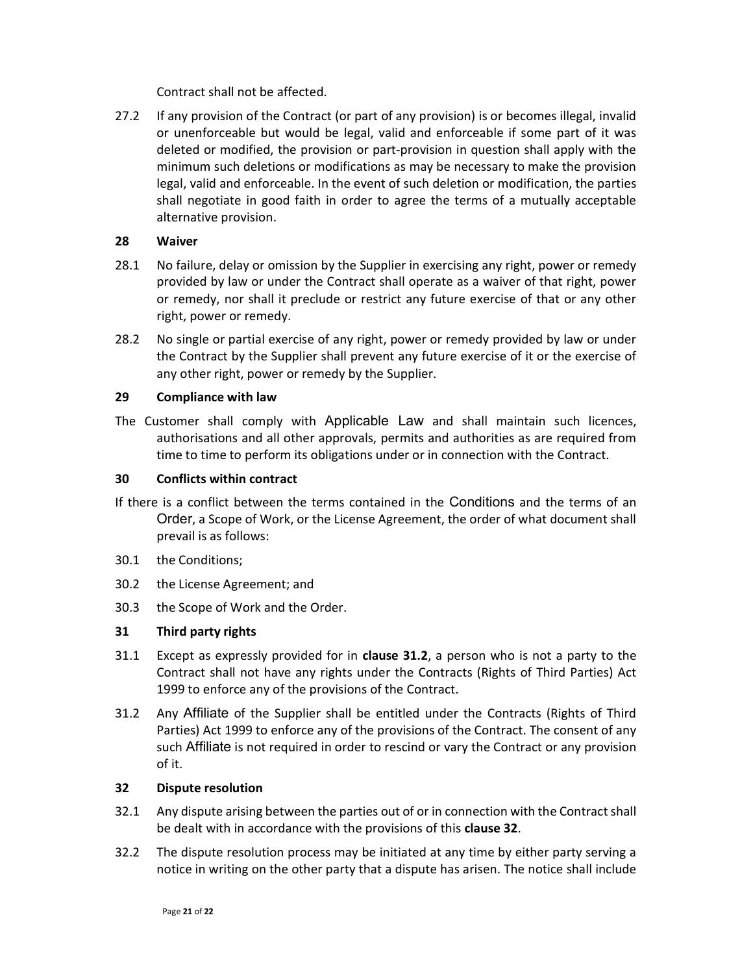Contract shall not be affected.

27.2 If any provision of the Contract (or part of any provision) is or becomes illegal, invalid or unenforceable but would be legal, valid and enforceable if some part of it was deleted or modified, the provision or part-provision in question shall apply with the minimum such deletions or modifications as may be necessary to make the provision legal, valid and enforceable. In the event of such deletion or modification, the parties shall negotiate in good faith in order to agree the terms of a mutually acceptable alternative provision.

## 28 Waiver

- 28.1 No failure, delay or omission by the Supplier in exercising any right, power or remedy provided by law or under the Contract shall operate as a waiver of that right, power or remedy, nor shall it preclude or restrict any future exercise of that or any other right, power or remedy.
- 28.2 No single or partial exercise of any right, power or remedy provided by law or under the Contract by the Supplier shall prevent any future exercise of it or the exercise of any other right, power or remedy by the Supplier.

## 29 Compliance with law

The Customer shall comply with Applicable Law and shall maintain such licences, authorisations and all other approvals, permits and authorities as are required from time to time to perform its obligations under or in connection with the Contract.

## 30 Conflicts within contract

- If there is a conflict between the terms contained in the Conditions and the terms of an Order, a Scope of Work, or the License Agreement, the order of what document shall prevail is as follows:
- 30.1 the Conditions;
- 30.2 the License Agreement; and
- 30.3 the Scope of Work and the Order.

# 31 Third party rights

- 31.1 Except as expressly provided for in clause 31.2, a person who is not a party to the Contract shall not have any rights under the Contracts (Rights of Third Parties) Act 1999 to enforce any of the provisions of the Contract.
- 31.2 Any Affiliate of the Supplier shall be entitled under the Contracts (Rights of Third Parties) Act 1999 to enforce any of the provisions of the Contract. The consent of any such Affiliate is not required in order to rescind or vary the Contract or any provision of it.

#### 32 Dispute resolution

- 32.1 Any dispute arising between the parties out of or in connection with the Contract shall be dealt with in accordance with the provisions of this clause 32.
- 32.2 The dispute resolution process may be initiated at any time by either party serving a notice in writing on the other party that a dispute has arisen. The notice shall include